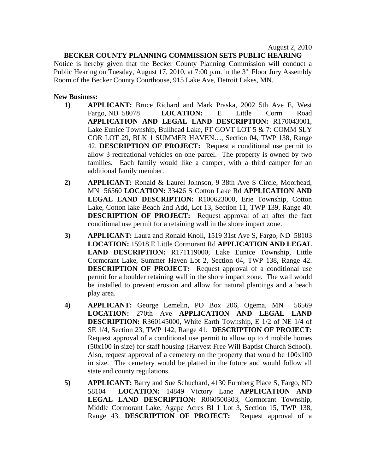## **BECKER COUNTY PLANNING COMMISSION SETS PUBLIC HEARING**

Notice is hereby given that the Becker County Planning Commission will conduct a Public Hearing on Tuesday, August 17, 2010, at 7:00 p.m. in the  $3<sup>rd</sup>$  Floor Jury Assembly Room of the Becker County Courthouse, 915 Lake Ave, Detroit Lakes, MN.

## **New Business:**

- **1) APPLICANT:** Bruce Richard and Mark Praska, 2002 5th Ave E, West Fargo, ND 58078 **LOCATION:** E Little Corm Road **APPLICATION AND LEGAL LAND DESCRIPTION:** R170043001, Lake Eunice Township, Bullhead Lake, PT GOVT LOT 5 & 7: COMM SLY COR LOT 29, BLK 1 SUMMER HAVEN…, Section 04, TWP 138, Range 42. **DESCRIPTION OF PROJECT:** Request a conditional use permit to allow 3 recreational vehicles on one parcel. The property is owned by two families. Each family would like a camper, with a third camper for an additional family member.
- **2) APPLICANT:** Ronald & Laurel Johnson, 9 38th Ave S Circle, Moorhead, MN 56560 **LOCATION:** 33426 S Cotton Lake Rd **APPLICATION AND LEGAL LAND DESCRIPTION:** R100623000, Erie Township, Cotton Lake, Cotton lake Beach 2nd Add, Lot 13, Section 11, TWP 139, Range 40. **DESCRIPTION OF PROJECT:** Request approval of an after the fact conditional use permit for a retaining wall in the shore impact zone.
- **3) APPLICANT:** Laura and Ronald Knoll, 1519 31st Ave S, Fargo, ND 58103 **LOCATION:** 15918 E Little Cormorant Rd **APPLICATION AND LEGAL LAND DESCRIPTION:** R171119000, Lake Eunice Township, Little Cormorant Lake, Summer Haven Lot 2, Section 04, TWP 138, Range 42. **DESCRIPTION OF PROJECT:** Request approval of a conditional use permit for a boulder retaining wall in the shore impact zone. The wall would be installed to prevent erosion and allow for natural plantings and a beach play area.
- **4) APPLICANT:** George Lemelin, PO Box 206, Ogema, MN 56569 **LOCATION:** 270th Ave **APPLICATION AND LEGAL LAND DESCRIPTION:** R360145000, White Earth Township, E 1/2 of NE 1/4 of SE 1/4, Section 23, TWP 142, Range 41. **DESCRIPTION OF PROJECT:**  Request approval of a conditional use permit to allow up to 4 mobile homes (50x100 in size) for staff housing (Harvest Free Will Baptist Church School). Also, request approval of a cemetery on the property that would be 100x100 in size. The cemetery would be platted in the future and would follow all state and county regulations.
- **5) APPLICANT:** Barry and Sue Schuchard, 4130 Furnberg Place S, Fargo, ND 58104 **LOCATION:** 14849 Victory Lane **APPLICATION AND LEGAL LAND DESCRIPTION:** R060500303, Cormorant Township, Middle Cormorant Lake, Agape Acres Bl 1 Lot 3, Section 15, TWP 138, Range 43. **DESCRIPTION OF PROJECT:** Request approval of a